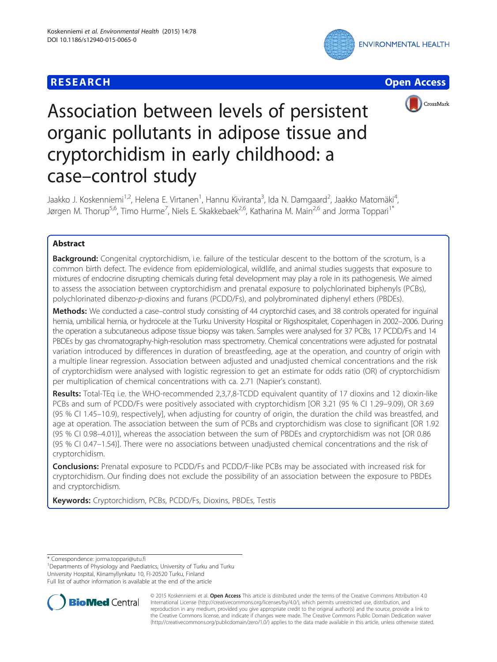





# Association between levels of persistent organic pollutants in adipose tissue and cryptorchidism in early childhood: a case–control study

Jaakko J. Koskenniemi<sup>1,2</sup>, Helena E. Virtanen<sup>1</sup>, Hannu Kiviranta<sup>3</sup>, Ida N. Damgaard<sup>2</sup>, Jaakko Matomäki<sup>4</sup> , Jørgen M. Thorup<sup>5,6</sup>, Timo Hurme<sup>7</sup>, Niels E. Skakkebaek<sup>2,6</sup>, Katharina M. Main<sup>2,6</sup> and Jorma Toppari<sup>1\*</sup>

### Abstract

Background: Congenital cryptorchidism, i.e. failure of the testicular descent to the bottom of the scrotum, is a common birth defect. The evidence from epidemiological, wildlife, and animal studies suggests that exposure to mixtures of endocrine disrupting chemicals during fetal development may play a role in its pathogenesis. We aimed to assess the association between cryptorchidism and prenatal exposure to polychlorinated biphenyls (PCBs), polychlorinated dibenzo-p-dioxins and furans (PCDD/Fs), and polybrominated diphenyl ethers (PBDEs).

Methods: We conducted a case–control study consisting of 44 cryptorchid cases, and 38 controls operated for inquinal hernia, umbilical hernia, or hydrocele at the Turku University Hospital or Rigshospitalet, Copenhagen in 2002–2006. During the operation a subcutaneous adipose tissue biopsy was taken. Samples were analysed for 37 PCBs, 17 PCDD/Fs and 14 PBDEs by gas chromatography-high-resolution mass spectrometry. Chemical concentrations were adjusted for postnatal variation introduced by differences in duration of breastfeeding, age at the operation, and country of origin with a multiple linear regression. Association between adjusted and unadjusted chemical concentrations and the risk of cryptorchidism were analysed with logistic regression to get an estimate for odds ratio (OR) of cryptorchidism per multiplication of chemical concentrations with ca. 2.71 (Napier's constant).

Results: Total-TEq i.e. the WHO-recommended 2,3,7,8-TCDD equivalent quantity of 17 dioxins and 12 dioxin-like PCBs and sum of PCDD/Fs were positively associated with cryptorchidism [OR 3.21 (95 % CI 1.29–9.09), OR 3.69 (95 % CI 1.45–10.9), respectively], when adjusting for country of origin, the duration the child was breastfed, and age at operation. The association between the sum of PCBs and cryptorchidism was close to significant [OR 1.92 (95 % CI 0.98–4.01)], whereas the association between the sum of PBDEs and cryptorchidism was not [OR 0.86 (95 % CI 0.47–1.54)]. There were no associations between unadjusted chemical concentrations and the risk of cryptorchidism.

**Conclusions:** Prenatal exposure to PCDD/Fs and PCDD/F-like PCBs may be associated with increased risk for cryptorchidism. Our finding does not exclude the possibility of an association between the exposure to PBDEs and cryptorchidism.

Keywords: Cryptorchidism, PCBs, PCDD/Fs, Dioxins, PBDEs, Testis

\* Correspondence: [jorma.toppari@utu.fi](mailto:jorma.toppari@utu.fi) <sup>1</sup>

<sup>1</sup>Departments of Physiology and Paediatrics, University of Turku and Turku University Hospital, Kiinamyllynkatu 10, FI-20520 Turku, Finland

Full list of author information is available at the end of the article



© 2015 Koskenniemi et al. Open Access This article is distributed under the terms of the Creative Commons Attribution 4.0 International License [\(http://creativecommons.org/licenses/by/4.0/](http://creativecommons.org/licenses/by/4.0/)), which permits unrestricted use, distribution, and reproduction in any medium, provided you give appropriate credit to the original author(s) and the source, provide a link to the Creative Commons license, and indicate if changes were made. The Creative Commons Public Domain Dedication waiver [\(http://creativecommons.org/publicdomain/zero/1.0/](http://creativecommons.org/publicdomain/zero/1.0/)) applies to the data made available in this article, unless otherwise stated.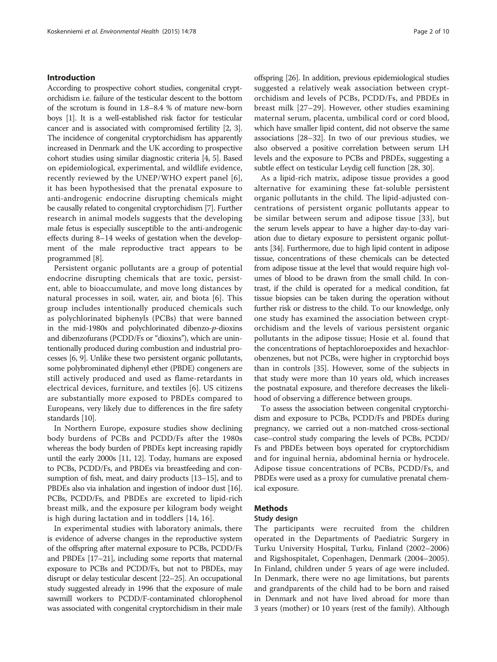#### Introduction

According to prospective cohort studies, congenital cryptorchidism i.e. failure of the testicular descent to the bottom of the scrotum is found in 1.8–8.4 % of mature new-born boys [\[1\]](#page-8-0). It is a well-established risk factor for testicular cancer and is associated with compromised fertility [\[2, 3](#page-8-0)]. The incidence of congenital cryptorchidism has apparently increased in Denmark and the UK according to prospective cohort studies using similar diagnostic criteria [\[4, 5](#page-8-0)]. Based on epidemiological, experimental, and wildlife evidence, recently reviewed by the UNEP/WHO expert panel [\[6](#page-8-0)], it has been hypothesised that the prenatal exposure to anti-androgenic endocrine disrupting chemicals might be causally related to congenital cryptorchidism [\[7\]](#page-8-0). Further research in animal models suggests that the developing male fetus is especially susceptible to the anti-androgenic effects during 8–14 weeks of gestation when the development of the male reproductive tract appears to be programmed [\[8](#page-8-0)].

Persistent organic pollutants are a group of potential endocrine disrupting chemicals that are toxic, persistent, able to bioaccumulate, and move long distances by natural processes in soil, water, air, and biota [[6\]](#page-8-0). This group includes intentionally produced chemicals such as polychlorinated biphenyls (PCBs) that were banned in the mid-1980s and polychlorinated dibenzo-p-dioxins and dibenzofurans (PCDD/Fs or "dioxins"), which are unintentionally produced during combustion and industrial processes [\[6, 9](#page-8-0)]. Unlike these two persistent organic pollutants, some polybrominated diphenyl ether (PBDE) congeners are still actively produced and used as flame-retardants in electrical devices, furniture, and textiles [[6](#page-8-0)]. US citizens are substantially more exposed to PBDEs compared to Europeans, very likely due to differences in the fire safety standards [[10](#page-8-0)].

In Northern Europe, exposure studies show declining body burdens of PCBs and PCDD/Fs after the 1980s whereas the body burden of PBDEs kept increasing rapidly until the early 2000s [\[11, 12\]](#page-8-0). Today, humans are exposed to PCBs, PCDD/Fs, and PBDEs via breastfeeding and consumption of fish, meat, and dairy products [\[13](#page-8-0)–[15\]](#page-8-0), and to PBDEs also via inhalation and ingestion of indoor dust [\[16](#page-8-0)]. PCBs, PCDD/Fs, and PBDEs are excreted to lipid-rich breast milk, and the exposure per kilogram body weight is high during lactation and in toddlers [[14](#page-8-0), [16](#page-8-0)].

In experimental studies with laboratory animals, there is evidence of adverse changes in the reproductive system of the offspring after maternal exposure to PCBs, PCDD/Fs and PBDEs [\[17](#page-8-0)–[21\]](#page-8-0), including some reports that maternal exposure to PCBs and PCDD/Fs, but not to PBDEs, may disrupt or delay testicular descent [\[22](#page-8-0)–[25](#page-8-0)]. An occupational study suggested already in 1996 that the exposure of male sawmill workers to PCDD/F-contaminated chlorophenol was associated with congenital cryptorchidism in their male

offspring [\[26\]](#page-8-0). In addition, previous epidemiological studies suggested a relatively weak association between cryptorchidism and levels of PCBs, PCDD/Fs, and PBDEs in breast milk [\[27](#page-8-0)–[29](#page-9-0)]. However, other studies examining maternal serum, placenta, umbilical cord or cord blood, which have smaller lipid content, did not observe the same associations [\[28](#page-8-0)–[32](#page-9-0)]. In two of our previous studies, we also observed a positive correlation between serum LH levels and the exposure to PCBs and PBDEs, suggesting a subtle effect on testicular Leydig cell function [[28](#page-8-0), [30\]](#page-9-0).

As a lipid-rich matrix, adipose tissue provides a good alternative for examining these fat-soluble persistent organic pollutants in the child. The lipid-adjusted concentrations of persistent organic pollutants appear to be similar between serum and adipose tissue [\[33](#page-9-0)], but the serum levels appear to have a higher day-to-day variation due to dietary exposure to persistent organic pollutants [[34](#page-9-0)]. Furthermore, due to high lipid content in adipose tissue, concentrations of these chemicals can be detected from adipose tissue at the level that would require high volumes of blood to be drawn from the small child. In contrast, if the child is operated for a medical condition, fat tissue biopsies can be taken during the operation without further risk or distress to the child. To our knowledge, only one study has examined the association between cryptorchidism and the levels of various persistent organic pollutants in the adipose tissue; Hosie et al. found that the concentrations of heptachloroepoxides and hexachlorobenzenes, but not PCBs, were higher in cryptorchid boys than in controls [\[35\]](#page-9-0). However, some of the subjects in that study were more than 10 years old, which increases the postnatal exposure, and therefore decreases the likelihood of observing a difference between groups.

To assess the association between congenital cryptorchidism and exposure to PCBs, PCDD/Fs and PBDEs during pregnancy, we carried out a non-matched cross-sectional case–control study comparing the levels of PCBs, PCDD/ Fs and PBDEs between boys operated for cryptorchidism and for inguinal hernia, abdominal hernia or hydrocele. Adipose tissue concentrations of PCBs, PCDD/Fs, and PBDEs were used as a proxy for cumulative prenatal chemical exposure.

#### Methods

#### Study design

The participants were recruited from the children operated in the Departments of Paediatric Surgery in Turku University Hospital, Turku, Finland (2002–2006) and Rigshospitalet, Copenhagen, Denmark (2004–2005). In Finland, children under 5 years of age were included. In Denmark, there were no age limitations, but parents and grandparents of the child had to be born and raised in Denmark and not have lived abroad for more than 3 years (mother) or 10 years (rest of the family). Although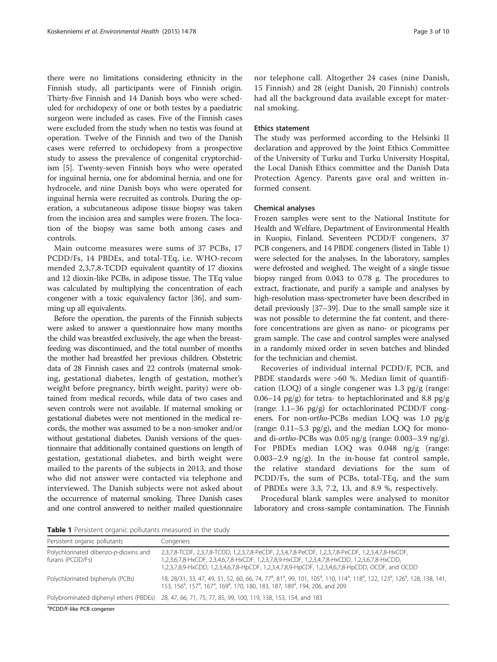there were no limitations considering ethnicity in the Finnish study, all participants were of Finnish origin. Thirty-five Finnish and 14 Danish boys who were scheduled for orchidopexy of one or both testes by a paediatric surgeon were included as cases. Five of the Finnish cases were excluded from the study when no testis was found at operation. Twelve of the Finnish and two of the Danish cases were referred to orchidopexy from a prospective study to assess the prevalence of congenital cryptorchidism [[5](#page-8-0)]. Twenty-seven Finnish boys who were operated for inguinal hernia, one for abdominal hernia, and one for hydrocele, and nine Danish boys who were operated for inguinal hernia were recruited as controls. During the operation, a subcutaneous adipose tissue biopsy was taken from the incision area and samples were frozen. The location of the biopsy was same both among cases and controls.

Main outcome measures were sums of 37 PCBs, 17 PCDD/Fs, 14 PBDEs, and total-TEq, i.e. WHO-recom mended 2,3,7,8-TCDD equivalent quantity of 17 dioxins and 12 dioxin-like PCBs, in adipose tissue. The TEq value was calculated by multiplying the concentration of each congener with a toxic equivalency factor [\[36\]](#page-9-0), and summing up all equivalents.

Before the operation, the parents of the Finnish subjects were asked to answer a questionnaire how many months the child was breastfed exclusively, the age when the breastfeeding was discontinued, and the total number of months the mother had breastfed her previous children. Obstetric data of 28 Finnish cases and 22 controls (maternal smoking, gestational diabetes, length of gestation, mother's weight before pregnancy, birth weight, parity) were obtained from medical records, while data of two cases and seven controls were not available. If maternal smoking or gestational diabetes were not mentioned in the medical records, the mother was assumed to be a non-smoker and/or without gestational diabetes. Danish versions of the questionnaire that additionally contained questions on length of gestation, gestational diabetes, and birth weight were mailed to the parents of the subjects in 2013, and those who did not answer were contacted via telephone and interviewed. The Danish subjects were not asked about the occurrence of maternal smoking. Three Danish cases and one control answered to neither mailed questionnaire

nor telephone call. Altogether 24 cases (nine Danish, 15 Finnish) and 28 (eight Danish, 20 Finnish) controls had all the background data available except for maternal smoking.

#### Ethics statement

The study was performed according to the Helsinki II declaration and approved by the Joint Ethics Committee of the University of Turku and Turku University Hospital, the Local Danish Ethics committee and the Danish Data Protection Agency. Parents gave oral and written informed consent.

#### Chemical analyses

Frozen samples were sent to the National Institute for Health and Welfare, Department of Environmental Health in Kuopio, Finland. Seventeen PCDD/F congeners, 37 PCB congeners, and 14 PBDE congeners (listed in Table 1) were selected for the analyses. In the laboratory, samples were defrosted and weighed. The weight of a single tissue biopsy ranged from 0.043 to 0.78 g. The procedures to extract, fractionate, and purify a sample and analyses by high-resolution mass-spectrometer have been described in detail previously [\[37](#page-9-0)–[39](#page-9-0)]. Due to the small sample size it was not possible to determine the fat content, and therefore concentrations are given as nano- or picograms per gram sample. The case and control samples were analysed in a randomly mixed order in seven batches and blinded for the technician and chemist.

Recoveries of individual internal PCDD/F, PCB, and PBDE standards were >60 %. Median limit of quantification (LOQ) of a single congener was 1.3 pg/g (range: 0.06–14 pg/g) for tetra- to heptachlorinated and 8.8 pg/g (range: 1.1–36 pg/g) for octachlorinated PCDD/F congeners. For non-ortho-PCBs median LOQ was 1.0 pg/g (range:  $0.11-5.3$  pg/g), and the median LOQ for monoand di-*ortho*-PCBs was  $0.05$  ng/g (range:  $0.003-3.9$  ng/g). For PBDEs median LOQ was 0.048 ng/g (range: 0.003–2.9 ng/g). In the in-house fat control sample, the relative standard deviations for the sum of PCDD/Fs, the sum of PCBs, total-TEq, and the sum of PBDEs were 3.3, 7.2, 13, and 8.9 %, respectively.

Procedural blank samples were analysed to monitor laboratory and cross-sample contamination. The Finnish

Table 1 Persistent organic pollutants measured in the study

| <b>TWAIS 1</b> Croistent organic pondtants incasared in the stady |                                                                                                                                                                                                                                                                                                                                                              |  |  |  |
|-------------------------------------------------------------------|--------------------------------------------------------------------------------------------------------------------------------------------------------------------------------------------------------------------------------------------------------------------------------------------------------------------------------------------------------------|--|--|--|
| Persistent organic pollutants                                     | Congeners                                                                                                                                                                                                                                                                                                                                                    |  |  |  |
| Polychlorinated dibenzo-p-dioxins and<br>furans (PCDD/Fs)         | 2,3,7,8-TCDF, 2,3,7,8-TCDD, 1,2,3,7,8-PeCDF, 2,3,4,7,8-PeCDF, 1,2,3,7,8-PeCDF, 1,2,3,4,7,8-HxCDF,<br>1,2,3,6,7,8-HxCDF, 2,3,4,6,7,8-HxCDF, 1,2,3,7,8,9-HxCDF, 1,2,3,4,7,8-HxCDD, 1,2,3,6,7,8-HxCDD,<br>1,2,3,7,8,9-HxCDD, 1,2,3,4,6,7,8-HpCDF, 1,2,3,4,7,8,9-HpCDF, 1,2,3,4,6,7,8-HpCDD, OCDF, and OCDD                                                      |  |  |  |
| Polychlorinated biphenyls (PCBs)                                  | 18, 28/31, 33, 47, 49, 51, 52, 60, 66, 74, 77 <sup>a</sup> , 81 <sup>a</sup> , 99, 101, 105 <sup>a</sup> , 110, 114 <sup>a</sup> , 118 <sup>a</sup> , 122, 123 <sup>a</sup> , 126 <sup>a</sup> , 128, 138, 141,<br>153, 156 <sup>a</sup> , 157 <sup>a</sup> , 167 <sup>a</sup> , 169 <sup>a</sup> , 170, 180, 183, 187, 189 <sup>a</sup> , 194, 206, and 209 |  |  |  |
|                                                                   | Polybrominated diphenyl ethers (PBDEs) 28, 47, 66, 71, 75, 77, 85, 99, 100, 119, 138, 153, 154, and 183                                                                                                                                                                                                                                                      |  |  |  |
| <sup>a</sup> PCDD/E-like PCR congener                             |                                                                                                                                                                                                                                                                                                                                                              |  |  |  |

a PCDD/F-like PCB congener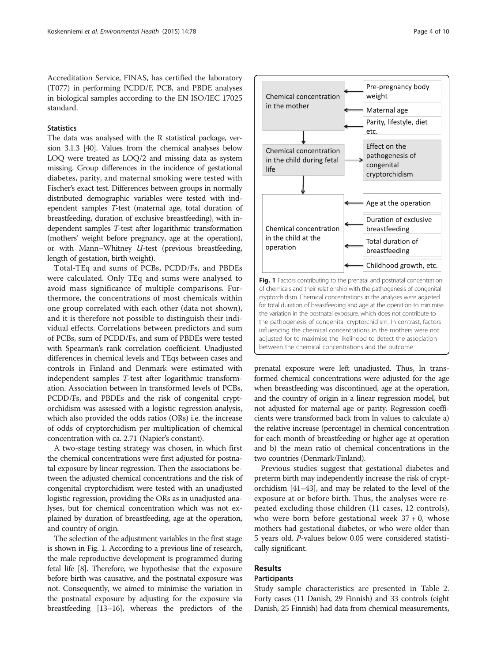#### **Statistics**

The data was analysed with the R statistical package, version 3.1.3 [[40](#page-9-0)]. Values from the chemical analyses below LOQ were treated as LOQ/2 and missing data as system missing. Group differences in the incidence of gestational diabetes, parity, and maternal smoking were tested with Fischer's exact test. Differences between groups in normally distributed demographic variables were tested with independent samples T-test (maternal age, total duration of breastfeeding, duration of exclusive breastfeeding), with independent samples T-test after logarithmic transformation (mothers' weight before pregnancy, age at the operation), or with Mann–Whitney U-test (previous breastfeeding, length of gestation, birth weight).

Total-TEq and sums of PCBs, PCDD/Fs, and PBDEs were calculated. Only TEq and sums were analysed to avoid mass significance of multiple comparisons. Furthermore, the concentrations of most chemicals within one group correlated with each other (data not shown), and it is therefore not possible to distinguish their individual effects. Correlations between predictors and sum of PCBs, sum of PCDD/Fs, and sum of PBDEs were tested with Spearman's rank correlation coefficient. Unadjusted differences in chemical levels and TEqs between cases and controls in Finland and Denmark were estimated with independent samples T-test after logarithmic transformation. Association between ln transformed levels of PCBs, PCDD/Fs, and PBDEs and the risk of congenital cryptorchidism was assessed with a logistic regression analysis, which also provided the odds ratios (ORs) i.e. the increase of odds of cryptorchidism per multiplication of chemical concentration with ca. 2.71 (Napier's constant).

A two-stage testing strategy was chosen, in which first the chemical concentrations were first adjusted for postnatal exposure by linear regression. Then the associations between the adjusted chemical concentrations and the risk of congenital cryptorchidism were tested with an unadjusted logistic regression, providing the ORs as in unadjusted analyses, but for chemical concentration which was not explained by duration of breastfeeding, age at the operation, and country of origin.

The selection of the adjustment variables in the first stage is shown in Fig. 1. According to a previous line of research, the male reproductive development is programmed during fetal life [\[8\]](#page-8-0). Therefore, we hypothesise that the exposure before birth was causative, and the postnatal exposure was not. Consequently, we aimed to minimise the variation in the postnatal exposure by adjusting for the exposure via breastfeeding [\[13](#page-8-0)–[16\]](#page-8-0), whereas the predictors of the



prenatal exposure were left unadjusted. Thus, ln transformed chemical concentrations were adjusted for the age when breastfeeding was discontinued, age at the operation, and the country of origin in a linear regression model, but not adjusted for maternal age or parity. Regression coefficients were transformed back from ln values to calculate a) the relative increase (percentage) in chemical concentration for each month of breastfeeding or higher age at operation and b) the mean ratio of chemical concentrations in the two countries (Denmark/Finland).

Previous studies suggest that gestational diabetes and preterm birth may independently increase the risk of cryptorchidism [[41](#page-9-0)–[43\]](#page-9-0), and may be related to the level of the exposure at or before birth. Thus, the analyses were repeated excluding those children (11 cases, 12 controls), who were born before gestational week  $37 + 0$ , whose mothers had gestational diabetes, or who were older than 5 years old. P-values below 0.05 were considered statistically significant.

#### Results

#### **Participants**

Study sample characteristics are presented in Table [2](#page-4-0). Forty cases (11 Danish, 29 Finnish) and 33 controls (eight Danish, 25 Finnish) had data from chemical measurements,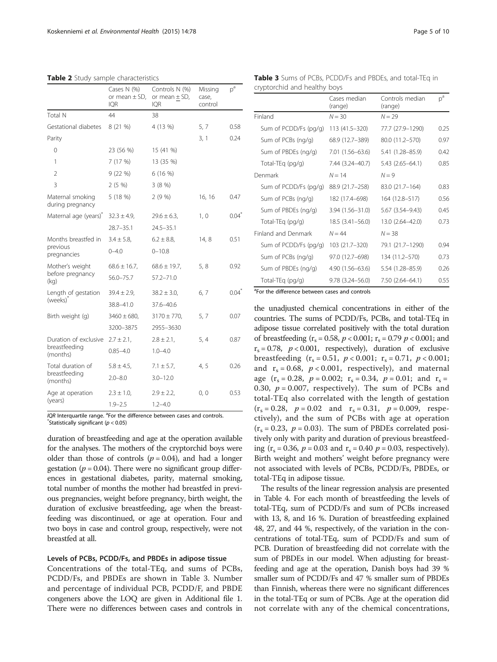<span id="page-4-0"></span>

| Table 2 Study sample characteristics |  |  |  |
|--------------------------------------|--|--|--|
|--------------------------------------|--|--|--|

|                                                | Cases N (%)<br>or mean $\pm$ SD,<br><b>IQR</b> | Controls N (%)<br>or mean $\pm$ SD,<br><b>IQR</b> | Missing<br>case,<br>control | $p^a$               |
|------------------------------------------------|------------------------------------------------|---------------------------------------------------|-----------------------------|---------------------|
| Total N                                        | 44                                             | 38                                                |                             |                     |
| Gestational diabetes                           | 8 (21 %)                                       | 4 (13 %)                                          | 5, 7                        | 0.58                |
| Parity                                         |                                                |                                                   | 3, 1                        | 0.24                |
| 0                                              | 23 (56 %)                                      | 15 (41 %)                                         |                             |                     |
| 1                                              | 7 (17 %)                                       | 13 (35 %)                                         |                             |                     |
| $\overline{2}$                                 | 9(22%)                                         | 6 (16 %)                                          |                             |                     |
| 3                                              | 2(5%                                           | 3(8%)                                             |                             |                     |
| Maternal smoking<br>during pregnancy           | 5 (18 %)                                       | 2(9%)                                             | 16, 16                      | 0.47                |
| Maternal age (years) <sup>*</sup>              | $32.3 \pm 4.9$ ,                               | $29.6 \pm 6.3$                                    | 1, 0                        | $0.04$ <sup>*</sup> |
|                                                | $28.7 - 35.1$                                  | $24.5 - 35.1$                                     |                             |                     |
| Months breastfed in<br>previous<br>pregnancies | $3.4 \pm 5.8$ ,                                | $6.2 \pm 8.8$                                     | 14, 8                       | 0.51                |
|                                                | $0 - 4.0$                                      | $0 - 10.8$                                        |                             |                     |
| Mother's weight<br>before pregnancy<br>(kg)    | $68.6 \pm 16.7$ ,                              | $68.6 \pm 19.7$ ,                                 | 5,8                         | 0.92                |
|                                                | $56.0 - 75.7$                                  | $57.2 - 71.0$                                     |                             |                     |
| Length of gestation                            | $39.4 \pm 2.9$                                 | $38.2 \pm 3.0$ ,                                  | 6, 7                        | $0.04$ <sup>*</sup> |
| (weeks) <sup>®</sup>                           | 38.8-41.0                                      | 37.6-40.6                                         |                             |                     |
| Birth weight (g)                               | $3460 \pm 680$ ,                               | $3170 \pm 770$ ,                                  | 5, 7                        | 0.07                |
|                                                | 3200-3875                                      | 2955-3630                                         |                             |                     |
| Duration of exclusive                          | $2.7 \pm 2.1$ ,                                | $2.8 \pm 2.1$ ,                                   | 5, 4                        | 0.87                |
| breastfeeding<br>(months)                      | $0.85 - 4.0$                                   | $1.0 - 4.0$                                       |                             |                     |
| Total duration of<br>breastfeeding<br>(months) | $5.8 \pm 4.5$ ,                                | $7.1 \pm 5.7$ ,                                   | 4, 5                        | 0.26                |
|                                                | $2.0 - 8.0$                                    | $3.0 - 12.0$                                      |                             |                     |
| Age at operation                               | $2.3 \pm 1.0$ ,                                | $2.9 \pm 2.2$ ,                                   | 0, 0                        | 0.53                |
| (years)                                        | $1.9 - 2.5$                                    | $1.2 - 4.0$                                       |                             |                     |

IQR Interquartile range.  ${}^{a}$ For the difference between cases and controls.<br> ${}^{*}$ Statistically significant (p < 0.05)  $\check{ }$ Statistically significant ( $p < 0.05$ )

duration of breastfeeding and age at the operation available for the analyses. The mothers of the cryptorchid boys were older than those of controls ( $p = 0.04$ ), and had a longer gestation ( $p = 0.04$ ). There were no significant group differences in gestational diabetes, parity, maternal smoking, total number of months the mother had breastfed in previous pregnancies, weight before pregnancy, birth weight, the duration of exclusive breastfeeding, age when the breastfeeding was discontinued, or age at operation. Four and two boys in case and control group, respectively, were not breastfed at all.

#### Levels of PCBs, PCDD/Fs, and PBDEs in adipose tissue

Concentrations of the total-TEq, and sums of PCBs, PCDD/Fs, and PBDEs are shown in Table 3. Number and percentage of individual PCB, PCDD/F, and PBDE congeners above the LOQ are given in Additional file [1](#page-7-0). There were no differences between cases and controls in

| <b>Table 3</b> Sums of PCBs, PCDD/Fs and PBDEs, and total-TEq in |  |  |
|------------------------------------------------------------------|--|--|
| cryptorchid and healthy boys                                     |  |  |

|                            | Cases median<br>(range) | Controls median<br>(range) | $p^a$ |
|----------------------------|-------------------------|----------------------------|-------|
| Finland                    | $N = 30$                | $N = 29$                   |       |
| Sum of PCDD/Fs (pg/g)      | 113 (41.5–320)          | 77.7 (27.9–1290)           | 0.25  |
| Sum of PCBs (ng/g)         | 68.9 (12.7-389)         | 80.0 (11.2-570)            | 0.97  |
| Sum of PBDEs (ng/g)        | $7.01(1.56 - 63.6)$     | 5.41 (1.28–85.9)           | 0.42  |
| Total-TEq (pg/g)           | 7.44 (3.24–40.7)        | $5.43(2.65 - 64.1)$        | 0.85  |
| Denmark                    | $N = 14$                | $N = 9$                    |       |
| Sum of PCDD/Fs (pg/g)      | 88.9 (21.7–258)         | 83.0 (21.7–164)            | 0.83  |
| Sum of PCBs (ng/g)         | 182 (17.4–698)          | 164 (12.8-517)             | 0.56  |
| Sum of PBDEs (ng/g)        | $3.94(1.56 - 31.0)$     | $5.67(3.54 - 9.43)$        | 0.45  |
| Total-TEq (pg/g)           | $18.5(3.41 - 56.0)$     | 13.0 (2.64-42.0)           | 0.73  |
| <b>Finland and Denmark</b> | $N = 44$                | $N = 38$                   |       |
| Sum of PCDD/Fs (pg/g)      | 103 (21.7-320)          | 79.1 (21.7-1290)           | 0.94  |
| Sum of PCBs (ng/g)         | 97.0 (12.7–698)         | 134 (11.2–570)             | 0.73  |
| Sum of PBDEs (ng/g)        | 4.90 (1.56–63.6)        | 5.54 (1.28-85.9)           | 0.26  |
| Total-TEq (pg/g)           | $9.78(3.24 - 56.0)$     | 7.50 (2.64-64.1)           | 0.55  |

<sup>a</sup>For the difference between cases and controls

the unadjusted chemical concentrations in either of the countries. The sums of PCDD/Fs, PCBs, and total-TEq in adipose tissue correlated positively with the total duration of breastfeeding ( $r_s = 0.58$ ,  $p < 0.001$ ;  $r_s = 0.79$   $p < 0.001$ ; and  $r_s = 0.78$ ,  $p < 0.001$ , respectively), duration of exclusive breastfeeding  $(r_s = 0.51, p < 0.001; r_s = 0.71, p < 0.001;$ and  $r_s = 0.68$ ,  $p < 0.001$ , respectively), and maternal age  $(r_s = 0.28, p = 0.002; r_s = 0.34, p = 0.01;$  and  $r_s =$ 0.30,  $p = 0.007$ , respectively). The sum of PCBs and total-TEq also correlated with the length of gestation  $(r<sub>s</sub> = 0.28, p = 0.02 \text{ and } r<sub>s</sub> = 0.31, p = 0.009, respe$ ctively), and the sum of PCBs with age at operation  $(r<sub>s</sub> = 0.23, p = 0.03)$ . The sum of PBDEs correlated positively only with parity and duration of previous breastfeeding ( $r_s = 0.36$ ,  $p = 0.03$  and  $r_s = 0.40$   $p = 0.03$ , respectively). Birth weight and mothers' weight before pregnancy were not associated with levels of PCBs, PCDD/Fs, PBDEs, or total-TEq in adipose tissue.

The results of the linear regression analysis are presented in Table [4](#page-5-0). For each month of breastfeeding the levels of total-TEq, sum of PCDD/Fs and sum of PCBs increased with 13, 8, and 16 %. Duration of breastfeeding explained 48, 27, and 44 %, respectively, of the variation in the concentrations of total-TEq, sum of PCDD/Fs and sum of PCB. Duration of breastfeeding did not correlate with the sum of PBDEs in our model. When adjusting for breastfeeding and age at the operation, Danish boys had 39 % smaller sum of PCDD/Fs and 47 % smaller sum of PBDEs than Finnish, whereas there were no significant differences in the total-TEq or sum of PCBs. Age at the operation did not correlate with any of the chemical concentrations,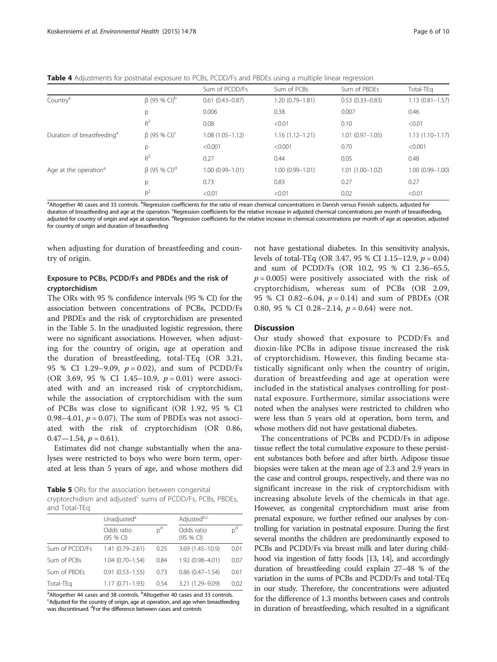<span id="page-5-0"></span>Table 4 Adjustments for postnatal exposure to PCBs, PCDD/Fs and PBDEs using a multiple linear regression

|                                        |                                | Sum of PCDD/Fs      | Sum of PCBs         | Sum of PBDEs        | Total-TEq           |
|----------------------------------------|--------------------------------|---------------------|---------------------|---------------------|---------------------|
| Country <sup>a</sup>                   | $\beta$ (95 % CI) <sup>b</sup> | $0.61(0.43 - 0.87)$ | 1.20 (0.79-1.81)    | $0.53(0.33 - 0.83)$ | $1.13(0.81 - 1.57)$ |
|                                        | p                              | 0.006               | 0.38                | 0.007               | 0.46                |
|                                        | $R^2$                          | 0.08                | < 0.01              | 0.10                | < 0.01              |
| Duration of breastfeeding <sup>a</sup> | $\beta$ (95 % CI) <sup>c</sup> | $1.08(1.05 - 1.12)$ | $1.16(1.12 - 1.21)$ | $1.01(0.97 - 1.05)$ | $1.13(1.10 - 1.17)$ |
|                                        | р                              | < 0.001             | < 0.001             | 0.70                | < 0.001             |
|                                        | $R^2$                          | 0.27                | 0.44                | 0.05                | 0.48                |
| Age at the operation <sup>a</sup>      | $β$ (95 % CI) <sup>d</sup>     | $1.00(0.99 - 1.01)$ | $1.00(0.99 - 1.01)$ | $1.01(1.00 - 1.02)$ | $1.00(0.99 - 1.00)$ |
|                                        | p                              | 0.73                | 0.83                | 0.27                | 0.27                |
|                                        | $R^2$                          | < 0.01              | < 0.01              | 0.02                | < 0.01              |

<sup>a</sup>Altogether 40 cases and 33 controls. <sup>b</sup>Regression coefficients for the ratio of mean chemical concentrations in Danish versus Finnish subjects, adjusted for duration of breastfeeding and age at the operation. <sup>c</sup>Regression coefficients for the relative increase in adjusted chemical concentrations per month of breastfeeding, adjusted for country of origin and age at operation. <sup>d</sup>Regression coefficients for the relative increase in chemical concentrations per month of age at operation, adjusted for country of origin and duration of breastfeeding

when adjusting for duration of breastfeeding and country of origin.

#### Exposure to PCBs, PCDD/Fs and PBDEs and the risk of cryptorchidism

The ORs with 95 % confidence intervals (95 % CI) for the association between concentrations of PCBs, PCDD/Fs and PBDEs and the risk of cryptorchidism are presented in the Table 5. In the unadjusted logistic regression, there were no significant associations. However, when adjusting for the country of origin, age at operation and the duration of breastfeeding, total-TEq (OR 3.21, 95 % CI 1.29–9.09,  $p = 0.02$ ), and sum of PCDD/Fs (OR 3.69, 95 % CI 1.45–10.9,  $p = 0.01$ ) were associated with and an increased risk of cryptorchidism, while the association of cryptorchidism with the sum of PCBs was close to significant (OR 1.92, 95 % CI 0.98–4.01,  $p = 0.07$ ). The sum of PBDEs was not associated with the risk of cryptorchidism (OR 0.86,  $0.47 - 1.54$ ,  $p = 0.61$ ).

Estimates did not change substantially when the analyses were restricted to boys who were born term, operated at less than 5 years of age, and whose mothers did

Table 5 ORs for the association between congenital cryptorchidism and adjusted<sup>c</sup> sums of PCDD/Fs, PCBs, PBDEs, and Total-TEq

|                | Unadjusted <sup>a</sup> |       | Adjustedb,c             |         |
|----------------|-------------------------|-------|-------------------------|---------|
|                | Odds ratio<br>(95 % CI) | $p^d$ | Odds ratio<br>(95 % CI) | $p^{d}$ |
| Sum of PCDD/Fs | $1.41(0.79 - 2.61)$     | 0.25  | 3.69 (1.45-10.9)        | 0.01    |
| Sum of PCBs    | $1.04(0.70 - 1.54)$     | 0.84  | 1.92 (0.98-4.01)        | 0.07    |
| Sum of PBDEs   | $0.91(0.53 - 1.55)$     | 0.73  | $0.86(0.47 - 1.54)$     | 0.61    |
| Total-TEq      | $1.17(0.71 - 1.93)$     | 0.54  | 3.21 (1.29-9.09)        | 0.02    |

 $^{\circ}$ Altogether 44 cases and 38 controls.  $^{\circ}$ Altogether 40 cases and 33 controls. Adjusted for the country of origin, age at operation, and age when breastfeeding was discontinued. <sup>d</sup>For the difference between cases and controls

not have gestational diabetes. In this sensitivity analysis, levels of total-TEq (OR 3.47, 95 % CI 1.15–12.9,  $p = 0.04$ ) and sum of PCDD/Fs (OR 10.2, 95 % CI 2.36–65.5,  $p = 0.005$ ) were positively associated with the risk of cryptorchidism, whereas sum of PCBs (OR 2.09, 95 % CI 0.82–6.04,  $p = 0.14$  and sum of PBDEs (OR 0.80, 95 % CI 0.28–2.14,  $p = 0.64$ ) were not.

#### **Discussion**

Our study showed that exposure to PCDD/Fs and dioxin-like PCBs in adipose tissue increased the risk of cryptorchidism. However, this finding became statistically significant only when the country of origin, duration of breastfeeding and age at operation were included in the statistical analyses controlling for postnatal exposure. Furthermore, similar associations were noted when the analyses were restricted to children who were less than 5 years old at operation, born term, and whose mothers did not have gestational diabetes.

The concentrations of PCBs and PCDD/Fs in adipose tissue reflect the total cumulative exposure to these persistent substances both before and after birth. Adipose tissue biopsies were taken at the mean age of 2.3 and 2.9 years in the case and control groups, respectively, and there was no significant increase in the risk of cryptorchidism with increasing absolute levels of the chemicals in that age. However, as congenital cryptorchidism must arise from prenatal exposure, we further refined our analyses by controlling for variation in postnatal exposure. During the first several months the children are predominantly exposed to PCBs and PCDD/Fs via breast milk and later during childhood via ingestion of fatty foods [\[13, 14\]](#page-8-0), and accordingly duration of breastfeeding could explain 27–48 % of the variation in the sums of PCBs and PCDD/Fs and total-TEq in our study. Therefore, the concentrations were adjusted for the difference of 1.3 months between cases and controls in duration of breastfeeding, which resulted in a significant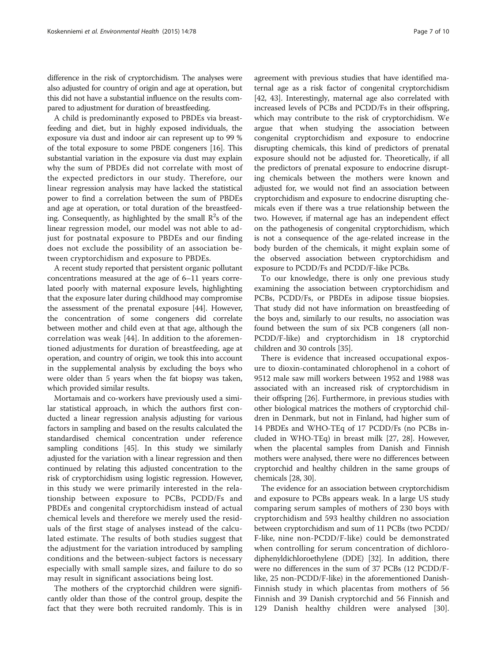difference in the risk of cryptorchidism. The analyses were also adjusted for country of origin and age at operation, but this did not have a substantial influence on the results compared to adjustment for duration of breastfeeding.

A child is predominantly exposed to PBDEs via breastfeeding and diet, but in highly exposed individuals, the exposure via dust and indoor air can represent up to 99 % of the total exposure to some PBDE congeners [[16](#page-8-0)]. This substantial variation in the exposure via dust may explain why the sum of PBDEs did not correlate with most of the expected predictors in our study. Therefore, our linear regression analysis may have lacked the statistical power to find a correlation between the sum of PBDEs and age at operation, or total duration of the breastfeeding. Consequently, as highlighted by the small  $\mathbb{R}^2$ s of the linear regression model, our model was not able to adjust for postnatal exposure to PBDEs and our finding does not exclude the possibility of an association between cryptorchidism and exposure to PBDEs.

A recent study reported that persistent organic pollutant concentrations measured at the age of 6–11 years correlated poorly with maternal exposure levels, highlighting that the exposure later during childhood may compromise the assessment of the prenatal exposure [[44](#page-9-0)]. However, the concentration of some congeners did correlate between mother and child even at that age, although the correlation was weak [\[44](#page-9-0)]. In addition to the aforementioned adjustments for duration of breastfeeding, age at operation, and country of origin, we took this into account in the supplemental analysis by excluding the boys who were older than 5 years when the fat biopsy was taken, which provided similar results.

Mortamais and co-workers have previously used a similar statistical approach, in which the authors first conducted a linear regression analysis adjusting for various factors in sampling and based on the results calculated the standardised chemical concentration under reference sampling conditions [[45](#page-9-0)]. In this study we similarly adjusted for the variation with a linear regression and then continued by relating this adjusted concentration to the risk of cryptorchidism using logistic regression. However, in this study we were primarily interested in the relationship between exposure to PCBs, PCDD/Fs and PBDEs and congenital cryptorchidism instead of actual chemical levels and therefore we merely used the residuals of the first stage of analyses instead of the calculated estimate. The results of both studies suggest that the adjustment for the variation introduced by sampling conditions and the between-subject factors is necessary especially with small sample sizes, and failure to do so may result in significant associations being lost.

The mothers of the cryptorchid children were significantly older than those of the control group, despite the fact that they were both recruited randomly. This is in

agreement with previous studies that have identified maternal age as a risk factor of congenital cryptorchidism [[42](#page-9-0), [43\]](#page-9-0). Interestingly, maternal age also correlated with increased levels of PCBs and PCDD/Fs in their offspring, which may contribute to the risk of cryptorchidism. We argue that when studying the association between congenital cryptorchidism and exposure to endocrine disrupting chemicals, this kind of predictors of prenatal exposure should not be adjusted for. Theoretically, if all the predictors of prenatal exposure to endocrine disrupting chemicals between the mothers were known and adjusted for, we would not find an association between cryptorchidism and exposure to endocrine disrupting chemicals even if there was a true relationship between the two. However, if maternal age has an independent effect on the pathogenesis of congenital cryptorchidism, which is not a consequence of the age-related increase in the body burden of the chemicals, it might explain some of the observed association between cryptorchidism and exposure to PCDD/Fs and PCDD/F-like PCBs.

To our knowledge, there is only one previous study examining the association between cryptorchidism and PCBs, PCDD/Fs, or PBDEs in adipose tissue biopsies. That study did not have information on breastfeeding of the boys and, similarly to our results, no association was found between the sum of six PCB congeners (all non-PCDD/F-like) and cryptorchidism in 18 cryptorchid children and 30 controls [\[35\]](#page-9-0).

There is evidence that increased occupational exposure to dioxin-contaminated chlorophenol in a cohort of 9512 male saw mill workers between 1952 and 1988 was associated with an increased risk of cryptorchidism in their offspring [\[26\]](#page-8-0). Furthermore, in previous studies with other biological matrices the mothers of cryptorchid children in Denmark, but not in Finland, had higher sum of 14 PBDEs and WHO-TEq of 17 PCDD/Fs (no PCBs included in WHO-TEq) in breast milk [\[27, 28\]](#page-8-0). However, when the placental samples from Danish and Finnish mothers were analysed, there were no differences between cryptorchid and healthy children in the same groups of chemicals [[28](#page-8-0), [30\]](#page-9-0).

The evidence for an association between cryptorchidism and exposure to PCBs appears weak. In a large US study comparing serum samples of mothers of 230 boys with cryptorchidism and 593 healthy children no association between cryptorchidism and sum of 11 PCBs (two PCDD/ F-like, nine non-PCDD/F-like) could be demonstrated when controlling for serum concentration of dichlorodiphenyldichloroethylene (DDE) [\[32](#page-9-0)]. In addition, there were no differences in the sum of 37 PCBs (12 PCDD/Flike, 25 non-PCDD/F-like) in the aforementioned Danish-Finnish study in which placentas from mothers of 56 Finnish and 39 Danish cryptorchid and 56 Finnish and 129 Danish healthy children were analysed [\[30](#page-9-0)].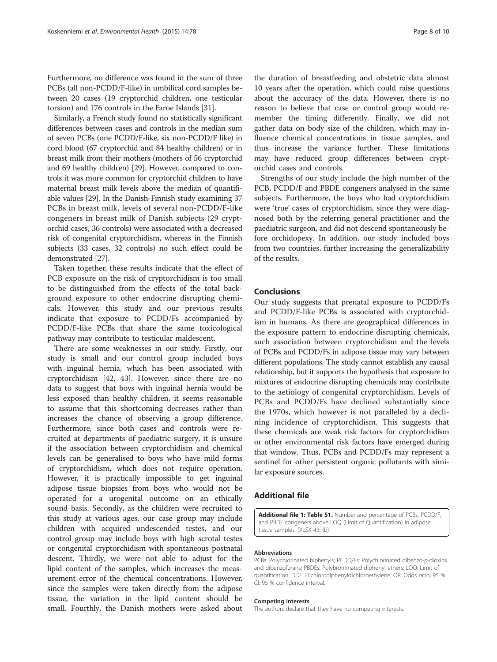<span id="page-7-0"></span>Furthermore, no difference was found in the sum of three PCBs (all non-PCDD/F-like) in umbilical cord samples between 20 cases (19 cryptorchid children, one testicular torsion) and 176 controls in the Faroe Islands [\[31\]](#page-9-0).

Similarly, a French study found no statistically significant differences between cases and controls in the median sum of seven PCBs (one PCDD/F-like, six non-PCDD/F like) in cord blood (67 cryptorchid and 84 healthy children) or in breast milk from their mothers (mothers of 56 cryptorchid and 69 healthy children) [[29](#page-9-0)]. However, compared to controls it was more common for cryptorchid children to have maternal breast milk levels above the median of quantifiable values [[29](#page-9-0)]. In the Danish-Finnish study examining 37 PCBs in breast milk, levels of several non-PCDD/F-like congeners in breast milk of Danish subjects (29 cryptorchid cases, 36 controls) were associated with a decreased risk of congenital cryptorchidism, whereas in the Finnish subjects (33 cases, 32 controls) no such effect could be demonstrated [[27](#page-8-0)].

Taken together, these results indicate that the effect of PCB exposure on the risk of cryptorchidism is too small to be distinguished from the effects of the total background exposure to other endocrine disrupting chemicals. However, this study and our previous results indicate that exposure to PCDD/Fs accompanied by PCDD/F-like PCBs that share the same toxicological pathway may contribute to testicular maldescent.

There are some weaknesses in our study. Firstly, our study is small and our control group included boys with inguinal hernia, which has been associated with cryptorchidism [\[42](#page-9-0), [43\]](#page-9-0). However, since there are no data to suggest that boys with inguinal hernia would be less exposed than healthy children, it seems reasonable to assume that this shortcoming decreases rather than increases the chance of observing a group difference. Furthermore, since both cases and controls were recruited at departments of paediatric surgery, it is unsure if the association between cryptorchidism and chemical levels can be generalised to boys who have mild forms of cryptorchidism, which does not require operation. However, it is practically impossible to get inguinal adipose tissue biopsies from boys who would not be operated for a urogenital outcome on an ethically sound basis. Secondly, as the children were recruited to this study at various ages, our case group may include children with acquired undescended testes, and our control group may include boys with high scrotal testes or congenital cryptorchidism with spontaneous postnatal descent. Thirdly, we were not able to adjust for the lipid content of the samples, which increases the measurement error of the chemical concentrations. However, since the samples were taken directly from the adipose tissue, the variation in the lipid content should be small. Fourthly, the Danish mothers were asked about the duration of breastfeeding and obstetric data almost 10 years after the operation, which could raise questions about the accuracy of the data. However, there is no reason to believe that case or control group would remember the timing differently. Finally, we did not gather data on body size of the children, which may influence chemical concentrations in tissue samples, and thus increase the variance further. These limitations may have reduced group differences between cryptorchid cases and controls.

Strengths of our study include the high number of the PCB, PCDD/F and PBDE congeners analysed in the same subjects. Furthermore, the boys who had cryptorchidism were 'true' cases of cryptorchidism, since they were diagnosed both by the referring general practitioner and the paediatric surgeon, and did not descend spontaneously before orchidopexy. In addition, our study included boys from two countries, further increasing the generalizability of the results.

#### Conclusions

Our study suggests that prenatal exposure to PCDD/Fs and PCDD/F-like PCBs is associated with cryptorchidism in humans. As there are geographical differences in the exposure pattern to endocrine disrupting chemicals, such association between cryptorchidism and the levels of PCBs and PCDD/Fs in adipose tissue may vary between different populations. The study cannot establish any causal relationship, but it supports the hypothesis that exposure to mixtures of endocrine disrupting chemicals may contribute to the aetiology of congenital cryptorchidism. Levels of PCBs and PCDD/Fs have declined substantially since the 1970s, which however is not paralleled by a declining incidence of cryptorchidism. This suggests that these chemicals are weak risk factors for cryptorchidism or other environmental risk factors have emerged during that window. Thus, PCBs and PCDD/Fs may represent a sentinel for other persistent organic pollutants with similar exposure sources.

#### Additional file

[Additional file 1: Table S1.](http://www.ehjournal.net/content/supplementary/s12940-015-0065-0-s1.xlsx) Number and percentage of PCBs, PCDD/F, and PBDE congeners above LOQ (Limit of Quantification) in adipose tissue samples. (XLSX 43 kb)

#### Abbreviations

PCBs: Polychlorinated biphenyls; PCDD/Fs: Polychlorinated dibenzo-p-dioxins and dibenzofurans; PBDEs: Polybrominated diphenyl ethers; LOQ: Limit of quantification; DDE: Dichlorodiphenyldichloroethylene; OR: Odds ratio; 95 % CI: 95 % confidence interval.

#### Competing interests

The authors declare that they have no competing interests.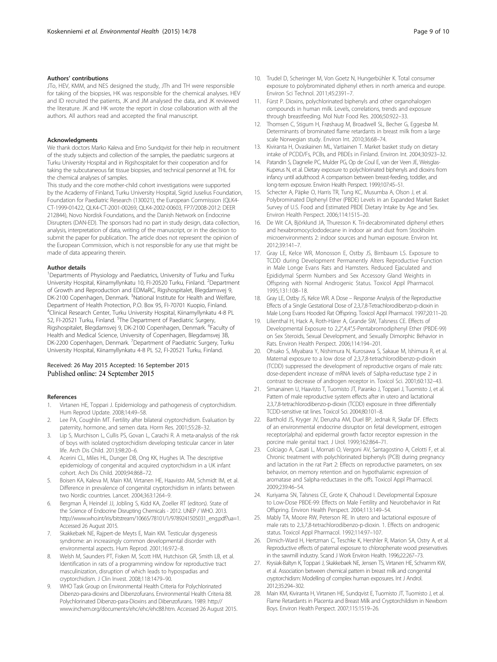#### <span id="page-8-0"></span>Authors' contributions

JTo, HEV, KMM, and NES designed the study, JTh and TH were responsible for taking of the biopsies, HK was responsible for the chemical analyses. HEV and ID recruited the patients, JK and JM analysed the data, and JK reviewed the literature. JK and HK wrote the report in close collaboration with all the authors. All authors read and accepted the final manuscript.

#### Acknowledgments

We thank doctors Marko Kaleva and Erno Sundqvist for their help in recruitment of the study subjects and collection of the samples, the paediatric surgeons at Turku University Hospital and in Rigshospitalet for their cooperation and for taking the subcutaneous fat tissue biopsies, and technical personnel at THL for the chemical analyses of samples.

This study and the core mother-child cohort investigations were supported by the Academy of Finland, Turku University Hospital, Sigrid Juselius Foundation, Foundation for Paediatric Research (130021), the European Commission (QLK4- CT-1999-01422, QLK4-CT-2001-00269, QLK4-2002-00603, FP7/2008-2012: DEER 212844), Novo Nordisk Foundations, and the Danish Network on Endocrine Disrupters (DAN-ED). The sponsors had no part in study design, data collection, analysis, interpretation of data, writing of the manuscript, or in the decision to submit the paper for publication. The article does not represent the opinion of the European Commission, which is not responsible for any use that might be made of data appearing therein.

#### Author details

<sup>1</sup>Departments of Physiology and Paediatrics, University of Turku and Turku University Hospital, Kiinamyllynkatu 10, FI-20520 Turku, Finland. <sup>2</sup>Department of Growth and Reproduction and EDMaRC, Rigshospitalet, Blegdamsvej 9, DK-2100 Copenhagen, Denmark. <sup>3</sup>National Institute for Health and Welfare, Department of Health Protection, P.O. Box 95, FI-70701 Kuopio, Finland. 4 Clinical Research Center, Turku University Hospital, Kiinamyllynkatu 4-8 PL 52, FI-20521 Turku, Finland. <sup>5</sup>The Department of Paediatric Surgery, Rigshospitalet, Blegdamsvej 9, DK-2100 Copenhagen, Denmark. <sup>6</sup>Faculty of Health and Medical Science, University of Copenhagen, Blegdamsvej 3B, DK-2200 Copenhagen, Denmark. <sup>7</sup> Department of Paediatric Surgery, Turku University Hospital, Kiinamyllynkatu 4-8 PL 52, FI-20521 Turku, Finland.

#### Received: 26 May 2015 Accepted: 16 September 2015 Published online: 24 September 2015

#### References

- Virtanen HE, Toppari J. Epidemiology and pathogenesis of cryptorchidism. Hum Reprod Update. 2008;14:49–58.
- 2. Lee PA, Coughlin MT. Fertility after bilateral cryptorchidism. Evaluation by paternity, hormone, and semen data. Horm Res. 2001;55:28–32.
- 3. Lip S, Murchison L, Cullis PS, Govan L, Carachi R. A meta-analysis of the risk of boys with isolated cryptorchidism developing testicular cancer in later life. Arch Dis Child. 2013;98:20–6.
- 4. Acerini CL, Miles HL, Dunger DB, Ong KK, Hughes IA. The descriptive epidemiology of congenital and acquired cryptorchidism in a UK infant cohort. Arch Dis Child. 2009;94:868–72.
- 5. Boisen KA, Kaleva M, Main KM, Virtanen HE, Haavisto AM, Schmidt IM, et al. Difference in prevalence of congenital cryptorchidism in infants between two Nordic countries. Lancet. 2004;363:1264–9.
- 6. Bergman Å, Heindel JJ, Jobling S, Kidd KA, Zoeller RT (editors). State of the Science of Endocrine Disrupting Chemicals - 2012. UNEP / WHO. 2013. [http://www.who.int/iris/bitstream/10665/78101/1/9789241505031\\_eng.pdf?ua=1](http://www.who.int/iris/bitstream/10665/78101/1/9789241505031_eng.pdf?ua=1). Accessed 26 August 2015.
- 7. Skakkebæk NE, Rajpert-de Meyts E, Main KM. Testicular dysgenesis syndrome: an increasingly common developmental disorder with environmental aspects. Hum Reprod. 2001;16:972–8.
- 8. Welsh M, Saunders PT, Fisken M, Scott HM, Hutchison GR, Smith LB, et al. Identification in rats of a programming window for reproductive tract masculinization, disruption of which leads to hypospadias and cryptorchidism. J Clin Invest. 2008;118:1479–90.
- WHO Task Group on Environmental Health Criteria for Polychlorinated Dibenzo-para-dioxins and Dibenzofurans. Environmental Health Criteria 88. Polychlorinated Dibenzo-para-Dioxins and Dibenzofurans. 1989. [http://](http://www.inchem.org/documents/ehc/ehc/ehc88.htm) [www.inchem.org/documents/ehc/ehc/ehc88.htm](http://www.inchem.org/documents/ehc/ehc/ehc88.htm). Accessed 26 August 2015.
- 10. Trudel D, Scheringer M, Von Goetz N, Hungerbühler K. Total consumer exposure to polybrominated diphenyl ethers in north america and europe. Environ Sci Technol. 2011;45:2391–7.
- 11. Fürst P. Dioxins, polychlorinated biphenyls and other organohalogen compounds in human milk. Levels, correlations, trends and exposure through breastfeeding. Mol Nutr Food Res. 2006;50:922–33.
- 12. Thomsen C, Stigum H, Frøshaug M, Broadwell SL, Becher G, Eggesbø M. Determinants of brominated flame retardants in breast milk from a large scale Norwegian study. Environ Int. 2010;36:68–74.
- 13. Kiviranta H, Ovaskainen ML, Vartiainen T. Market basket study on dietary intake of PCDD/Fs, PCBs, and PBDEs in Finland. Environ Int. 2004;30:923–32.
- 14. Patandin S, Dagnelie PC, Mulder PG, Op de Coul E, van der Veen JE, Weisglas-Kuperus N, et al. Dietary exposure to polychlorinated biphenyls and dioxins from infancy until adulthood: A comparison between breast-feeding, toddler, and long-term exposure. Environ Health Perspect. 1999;107:45–51.
- 15. Schecter A, Päpke O, Harris TR, Tung KC, Musumba A, Olson J, et al. Polybrominated Diphenyl Ether (PBDE) Levels in an Expanded Market Basket Survey of U.S. Food and Estimated PBDE Dietary Intake by Age and Sex. Environ Health Perspect. 2006;114:1515–20.
- 16. De Wit CA, Björklund JA, Thuresson K. Tri-decabrominated diphenyl ethers and hexabromocyclododecane in indoor air and dust from Stockholm microenvironments 2: indoor sources and human exposure. Environ Int. 2012;39:141–7.
- 17. Gray LE, Kelce WR, Monosson E, Ostby JS, Birnbaum LS. Exposure to TCDD during Development Permanently Alters Reproductive Function in Male Longe Evans Rats and Hamsters. Reduced Ejaculated and Epididymal Sperm Numbers and Sex Accessory Gland Weights in Offspring with Normal Androgenic Status. Toxicol Appl Pharmacol. 1995;131:108–18.
- 18. Gray LE, Ostby JS, Kelce WR. A Dose Response Analysis of the Reproductive Effects of a Single Gestational Dose of 2,3,7,8-Tetrachlorodibenzo-p-dioxin in Male Long Evans Hooded Rat Offspring. Toxicol Appl Pharmacol. 1997;20:11–20.
- 19. Lilienthal H, Hack A, Roth-Härer A, Grande SW, Talsness CE. Effects of Developmental Exposure to 2,2′,4,4′,5-Pentabromodiphenyl Ether (PBDE-99) on Sex Steroids, Sexual Development, and Sexually Dimorphic Behavior in Rats. Environ Health Perspect. 2006;114:194–201.
- 20. Ohsako S, Miyabara Y, Nishimura N, Kurosawa S, Sakaue M, Ishimura R, et al. Maternal exposure to a low dose of 2,3,7,8-tetrachlorodibenzo-p-dioxin (TCDD) suppressed the development of reproductive organs of male rats: dose-dependent increase of mRNA levels of 5alpha-reductase type 2 in contrast to decrease of androgen receptor in. Toxicol Sci. 2001;60:132–43.
- 21. Simanainen U, Haavisto T, Tuomisto JT, Paranko J, Toppari J, Tuomisto J, et al. Pattern of male reproductive system effects after in utero and lactational 2,3,7,8-tetrachlorodibenzo-p-dioxin (TCDD) exposure in three differentially TCDD-sensitive rat lines. Toxicol Sci. 2004;80:101–8.
- 22. Barthold JS, Kryger JV, Derusha AM, Duel BP, Jednak R, Skafar DF. Effects of an environmental endocrine disruptor on fetal development, estrogen receptor(alpha) and epidermal growth factor receptor expression in the porcine male genital tract. J Urol. 1999;162:864–71.
- 23. Colciago A, Casati L, Mornati O, Vergoni AV, Santagostino A, Celotti F, et al. Chronic treatment with polychlorinated biphenyls (PCB) during pregnancy and lactation in the rat Part 2: Effects on reproductive parameters, on sex behavior, on memory retention and on hypothalamic expression of aromatase and 5alpha-reductases in the offs. Toxicol Appl Pharmacol. 2009;239:46–54.
- 24. Kuriyama SN, Talsness CE, Grote K, Chahoud I. Developmental Exposure to Low-Dose PBDE-99: Effects on Male Fertility and Neurobehavior in Rat Offspring. Environ Health Perspect. 2004;113:149–54.
- 25. Mably TA, Moore RW, Peterson RE. In utero and lactational exposure of male rats to 2,3,7,8-tetrachlorodibenzo-p-dioxin. 1. Effects on androgenic status. Toxicol Appl Pharmacol. 1992;114:97–107.
- 26. Dimich-Ward H, Hertzman C, Teschke K, Hershler R, Marion SA, Ostry A, et al. Reproductive effects of paternal exposure to chlorophenate wood preservatives in the sawmill industry. Scand J Work Environ Health. 1996;22:267–73.
- 27. Krysiak-Baltyn K, Toppari J, Skakkebaek NE, Jensen TS, Virtanen HE, Schramm KW, et al. Association between chemical pattern in breast milk and congenital cryptorchidism: Modelling of complex human exposures. Int J Androl. 2012;35:294–302.
- 28. Main KM, Kiviranta H, Virtanen HE, Sundqvist E, Tuomisto JT, Tuomisto J, et al. Flame Retardants in Placenta and Breast Milk and Cryptorchildism in Newborn Boys. Environ Health Perspect. 2007;115:1519–26.